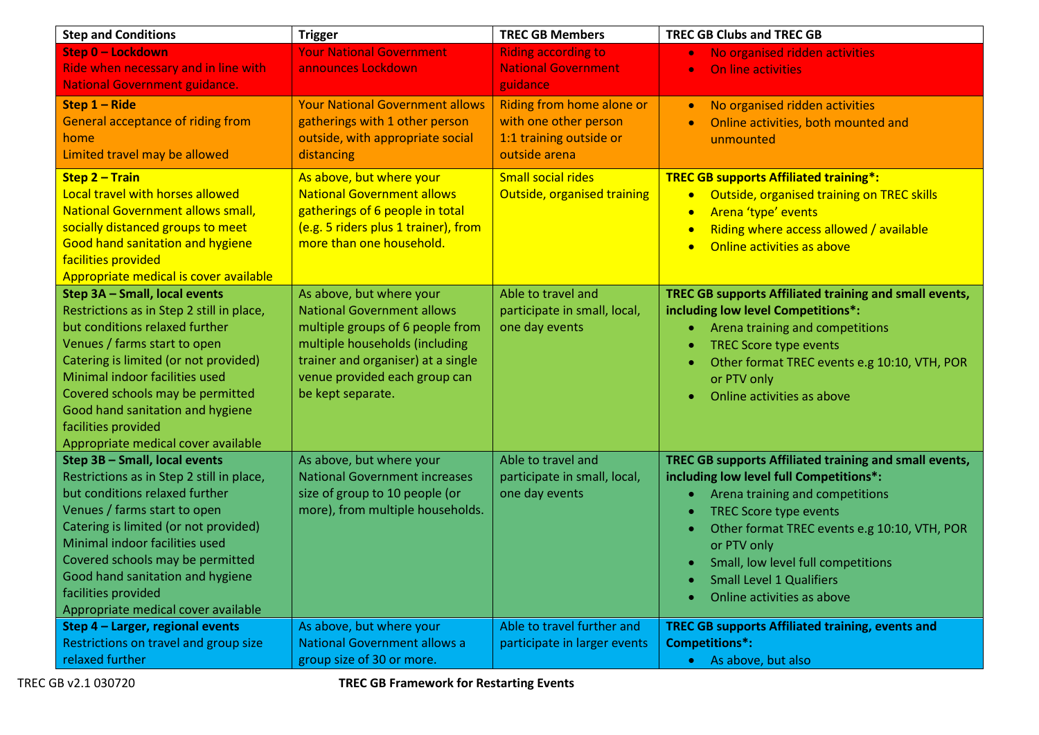| <b>Step and Conditions</b>                                                                                                                                                                                                                                                                                                                                    | <b>Trigger</b>                                                                                                                                                                                                                  | <b>TREC GB Members</b>                                                                         | <b>TREC GB Clubs and TREC GB</b>                                                                                                                                                                                                                                                                                                                                                                     |
|---------------------------------------------------------------------------------------------------------------------------------------------------------------------------------------------------------------------------------------------------------------------------------------------------------------------------------------------------------------|---------------------------------------------------------------------------------------------------------------------------------------------------------------------------------------------------------------------------------|------------------------------------------------------------------------------------------------|------------------------------------------------------------------------------------------------------------------------------------------------------------------------------------------------------------------------------------------------------------------------------------------------------------------------------------------------------------------------------------------------------|
| Step 0 - Lockdown                                                                                                                                                                                                                                                                                                                                             | <b>Your National Government</b>                                                                                                                                                                                                 | <b>Riding according to</b>                                                                     | No organised ridden activities<br>$\bullet$                                                                                                                                                                                                                                                                                                                                                          |
| Ride when necessary and in line with<br><b>National Government guidance.</b>                                                                                                                                                                                                                                                                                  | announces Lockdown                                                                                                                                                                                                              | <b>National Government</b><br>guidance                                                         | On line activities<br>$\bullet$                                                                                                                                                                                                                                                                                                                                                                      |
| Step 1 - Ride<br>General acceptance of riding from<br>home<br>Limited travel may be allowed                                                                                                                                                                                                                                                                   | <b>Your National Government allows</b><br>gatherings with 1 other person<br>outside, with appropriate social<br>distancing                                                                                                      | Riding from home alone or<br>with one other person<br>1:1 training outside or<br>outside arena | No organised ridden activities<br>$\bullet$<br>Online activities, both mounted and<br>$\bullet$<br>unmounted                                                                                                                                                                                                                                                                                         |
| <b>Step 2 - Train</b><br>Local travel with horses allowed<br><b>National Government allows small,</b><br>socially distanced groups to meet<br><b>Good hand sanitation and hygiene</b><br>facilities provided<br>Appropriate medical is cover available                                                                                                        | As above, but where your<br><b>National Government allows</b><br>gatherings of 6 people in total<br>(e.g. 5 riders plus 1 trainer), from<br>more than one household.                                                            | <b>Small social rides</b><br>Outside, organised training                                       | <b>TREC GB supports Affiliated training*:</b><br>Outside, organised training on TREC skills<br>$\bullet$<br>Arena 'type' events<br>$\bullet$<br>Riding where access allowed / available<br>$\bullet$<br>Online activities as above<br>$\bullet$                                                                                                                                                      |
| Step 3A - Small, local events<br>Restrictions as in Step 2 still in place,<br>but conditions relaxed further<br>Venues / farms start to open<br>Catering is limited (or not provided)<br>Minimal indoor facilities used<br>Covered schools may be permitted<br>Good hand sanitation and hygiene<br>facilities provided<br>Appropriate medical cover available | As above, but where your<br><b>National Government allows</b><br>multiple groups of 6 people from<br>multiple households (including<br>trainer and organiser) at a single<br>venue provided each group can<br>be kept separate. | Able to travel and<br>participate in small, local,<br>one day events                           | TREC GB supports Affiliated training and small events,<br>including low level Competitions*:<br>Arena training and competitions<br>۰<br><b>TREC Score type events</b><br>$\bullet$<br>Other format TREC events e.g 10:10, VTH, POR<br>$\bullet$<br>or PTV only<br>Online activities as above<br>۰                                                                                                    |
| Step 3B - Small, local events<br>Restrictions as in Step 2 still in place,<br>but conditions relaxed further<br>Venues / farms start to open<br>Catering is limited (or not provided)<br>Minimal indoor facilities used<br>Covered schools may be permitted<br>Good hand sanitation and hygiene<br>facilities provided<br>Appropriate medical cover available | As above, but where your<br><b>National Government increases</b><br>size of group to 10 people (or<br>more), from multiple households.                                                                                          | Able to travel and<br>participate in small, local,<br>one day events                           | TREC GB supports Affiliated training and small events,<br>including low level full Competitions*:<br>Arena training and competitions<br>$\bullet$<br><b>TREC Score type events</b><br>٠<br>Other format TREC events e.g 10:10, VTH, POR<br>$\bullet$<br>or PTV only<br>Small, low level full competitions<br>$\bullet$<br><b>Small Level 1 Qualifiers</b><br>Online activities as above<br>$\bullet$ |
| Step 4 - Larger, regional events<br>Restrictions on travel and group size<br>relaxed further                                                                                                                                                                                                                                                                  | As above, but where your<br><b>National Government allows a</b><br>group size of 30 or more.                                                                                                                                    | Able to travel further and<br>participate in larger events                                     | <b>TREC GB supports Affiliated training, events and</b><br><b>Competitions*:</b><br>• As above, but also                                                                                                                                                                                                                                                                                             |